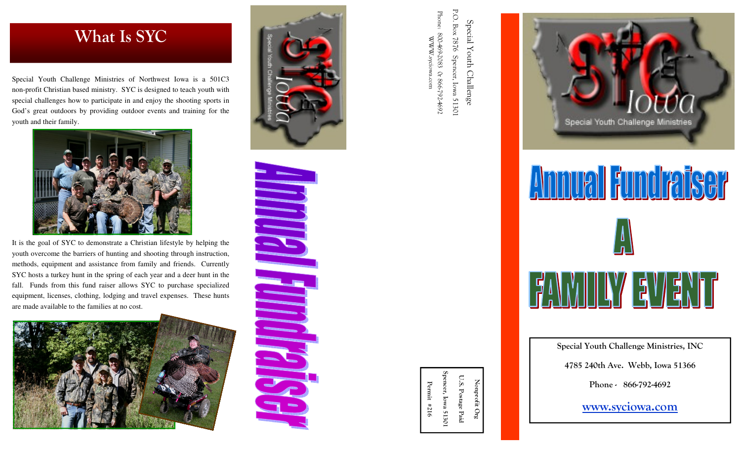## What Is SYC

Special Youth Challenge Ministries of Northwest Iowa is a 501C3 non-profit Christian based ministry. SYC is designed to teach youth with special challenges how to participate in and enjoy the shooting sports in God's great outdoors by providing outdoor events and training for the youth and their family.



It is the goal of SYC to demonstrate a Christian lifestyle by helping the youth overcome the barriers of hunting and shooting through instruction, methods, equipment and assistance from family and friends. Currently SYC hosts a turkey hunt in the spring of each year and a deer hunt in the fall. Funds from this fund raiser allows SYC to purchase specialized equipment, licenses, clothing, lodging and travel expenses. These hunts are made available to the families at no cost.





Spencer, Iowa 51301 U.S. Postage Paid U.S. Postage Paid encer, Iowa 51301 Nonprofit Org Permit #216 Permit #216

Nonprofit Org

Phone: P.O. Box P.O. Box 7876 Spencer, Iowa 51301 Phone: 800-469-2083 0r 866-792-4692 Special Youth Challenge Special Youth Challenge 800-469-2083 Or 866-792-4692 9282 WWW.syciowa.comWWW.syciowa.com Spencer, Iowa 51301



Special Youth Challenge Ministries, INC

4785 240th Ave. Webb, Iowa 51366

Phone - 866-792-4692

www.syciowa.com